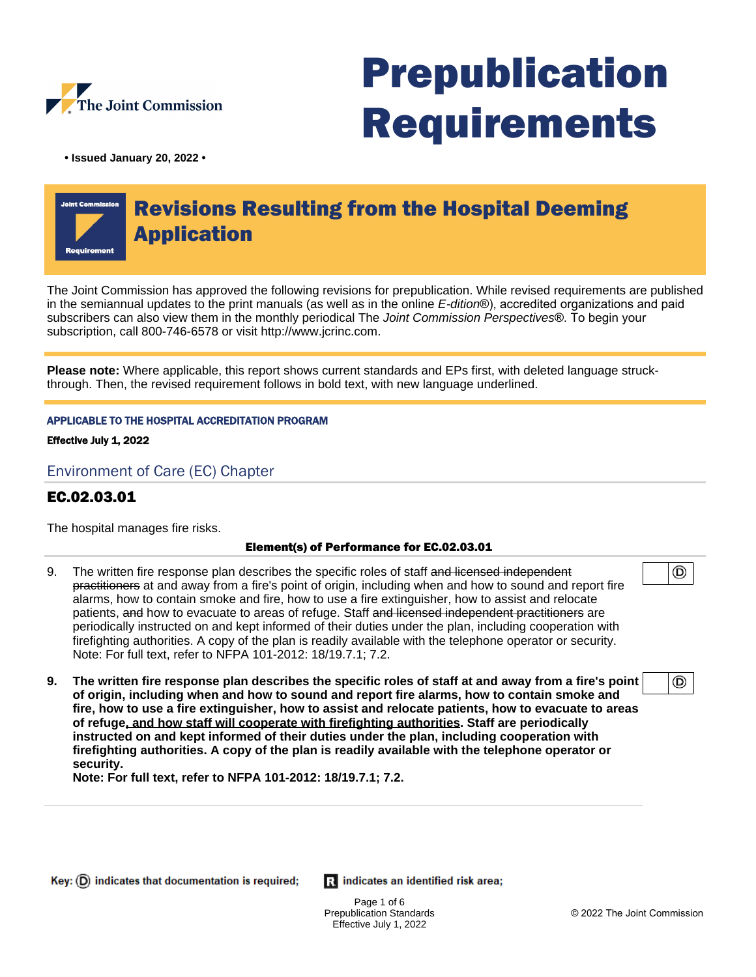

# Prepublication Requirements

**• Issued January 20, 2022 •**

# Revisions Resulting from the Hospital Deeming Application

The Joint Commission has approved the following revisions for prepublication. While revised requirements are published in the semiannual updates to the print manuals (as well as in the online E-dition®), accredited organizations and paid subscribers can also view them in the monthly periodical The Joint Commission Perspectives®. To begin your subscription, call 800-746-6578 or visit http://www.jcrinc.com.

**Please note:** Where applicable, this report shows current standards and EPs first, with deleted language struckthrough. Then, the revised requirement follows in bold text, with new language underlined.

#### APPLICABLE TO THE HOSPITAL ACCREDITATION PROGRAM

Effective July 1, 2022

Environment of Care (EC) Chapter

# EC.02.03.01

The hospital manages fire risks.

#### Element(s) of Performance for EC.02.03.01

- 9. The written fire response plan describes the specific roles of staff and licensed independent practitioners at and away from a fire's point of origin, including when and how to sound and report fire alarms, how to contain smoke and fire, how to use a fire extinguisher, how to assist and relocate patients, and how to evacuate to areas of refuge. Staff and licensed independent practitioners are periodically instructed on and kept informed of their duties under the plan, including cooperation with firefighting authorities. A copy of the plan is readily available with the telephone operator or security. Note: For full text, refer to NFPA 101-2012: 18/19.7.1; 7.2.
- **9. The written fire response plan describes the specific roles of staff at and away from a fire's point of origin, including when and how to sound and report fire alarms, how to contain smoke and fire, how to use a fire extinguisher, how to assist and relocate patients, how to evacuate to areas of refuge, and how staff will cooperate with firefighting authorities. Staff are periodically instructed on and kept informed of their duties under the plan, including cooperation with firefighting authorities. A copy of the plan is readily available with the telephone operator or security.**

**Note: For full text, refer to NFPA 101-2012: 18/19.7.1; 7.2.**

Ri indicates an identified risk area;

Page 1 of 6 Prepublication Standards Effective July 1, 2022

◉

⊚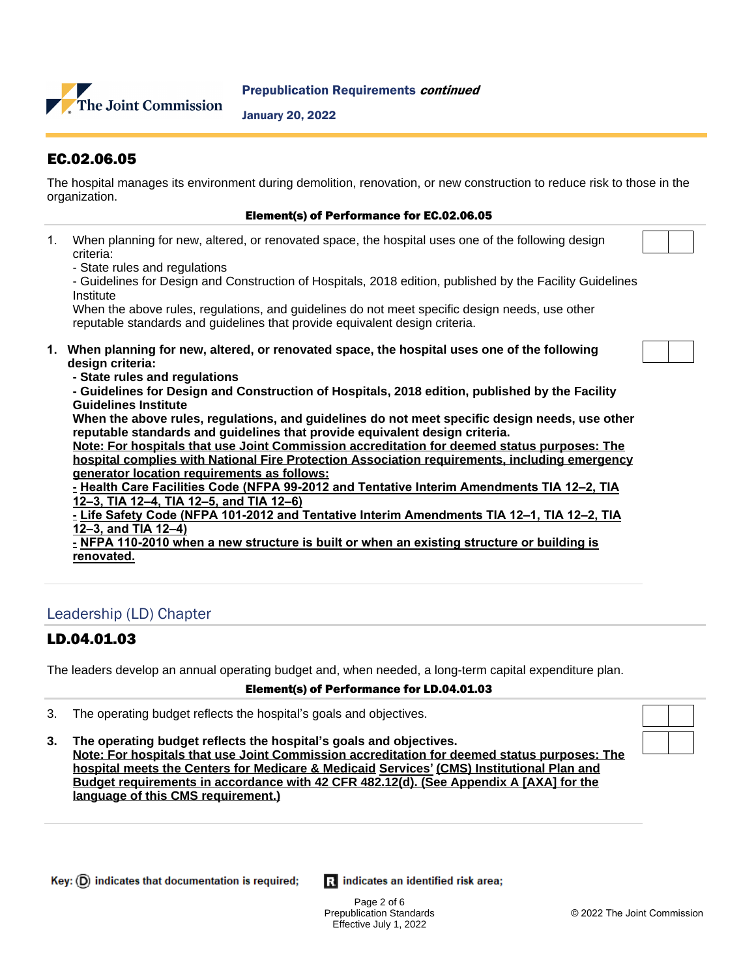

#### Prepublication Requirements continued

January 20, 2022

# EC.02.06.05

The hospital manages its environment during demolition, renovation, or new construction to reduce risk to those in the organization.

#### Element(s) of Performance for EC.02.06.05

- 1. When planning for new, altered, or renovated space, the hospital uses one of the following design criteria:
	- State rules and regulations

- Guidelines for Design and Construction of Hospitals, 2018 edition, published by the Facility Guidelines **Institute** 

When the above rules, regulations, and guidelines do not meet specific design needs, use other reputable standards and guidelines that provide equivalent design criteria.

- **1. When planning for new, altered, or renovated space, the hospital uses one of the following design criteria:**
	- **State rules and regulations**

**- Guidelines for Design and Construction of Hospitals, 2018 edition, published by the Facility Guidelines Institute**

**When the above rules, regulations, and guidelines do not meet specific design needs, use other reputable standards and guidelines that provide equivalent design criteria.**

**Note: For hospitals that use Joint Commission accreditation for deemed status purposes: The hospital complies with National Fire Protection Association requirements, including emergency generator location requirements as follows:**

**- Health Care Facilities Code (NFPA 99-2012 and Tentative Interim Amendments TIA 12–2, TIA 12–3, TIA 12–4, TIA 12–5, and TIA 12–6)**

**- Life Safety Code (NFPA 101-2012 and Tentative Interim Amendments TIA 12–1, TIA 12–2, TIA 12–3, and TIA 12–4)**

**- NFPA 110-2010 when a new structure is built or when an existing structure or building is renovated.** 

# Leadership (LD) Chapter

# LD.04.01.03

The leaders develop an annual operating budget and, when needed, a long-term capital expenditure plan.

#### Element(s) of Performance for LD.04.01.03

- 3. The operating budget reflects the hospital's goals and objectives.
- **3. The operating budget reflects the hospital's goals and objectives. Note: For hospitals that use Joint Commission accreditation for deemed status purposes: The hospital meets the Centers for Medicare & Medicaid Services' (CMS) Institutional Plan and Budget requirements in accordance with 42 CFR 482.12(d). (See Appendix A [AXA] for the language of this CMS requirement.)**

 $Key: (D)$  indicates that documentation is required;

Ri indicates an identified risk area;

Page 2 of 6 Prepublication Standards Effective July 1, 2022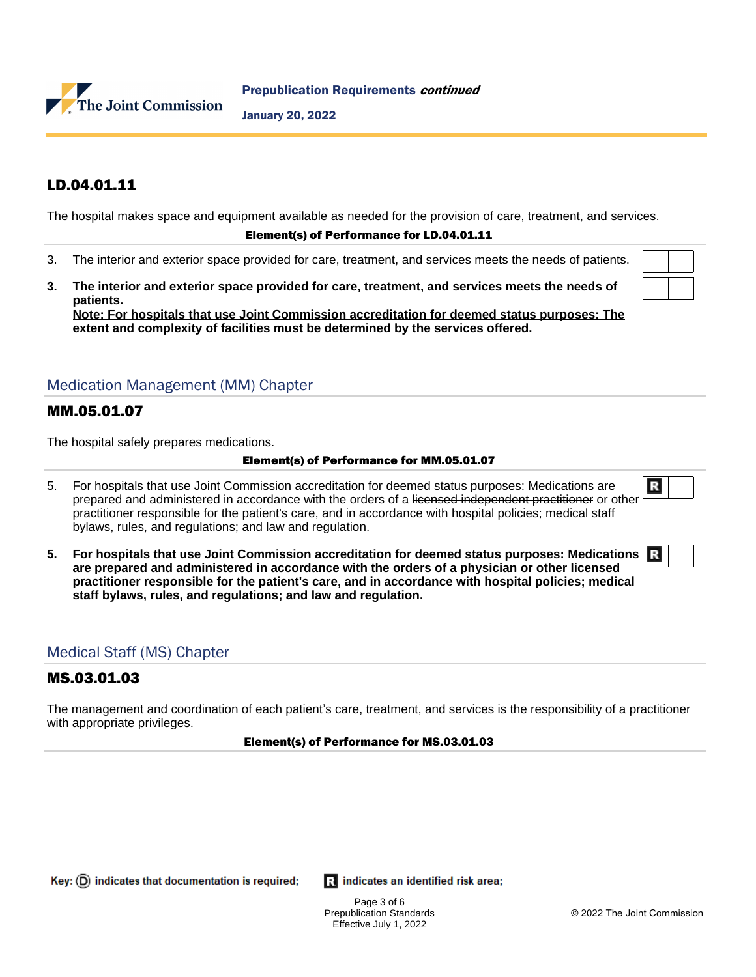

January 20, 2022

# LD.04.01.11

The hospital makes space and equipment available as needed for the provision of care, treatment, and services.

#### Element(s) of Performance for LD.04.01.11

- 3. The interior and exterior space provided for care, treatment, and services meets the needs of patients.
- **3. The interior and exterior space provided for care, treatment, and services meets the needs of patients. Note: For hospitals that use Joint Commission accreditation for deemed status purposes: The**

**extent and complexity of facilities must be determined by the services offered.**

 $\mathbf{E}$ 

# Medication Management (MM) Chapter

#### MM.05.01.07

The hospital safely prepares medications.

#### Element(s) of Performance for MM.05.01.07

- 5. For hospitals that use Joint Commission accreditation for deemed status purposes: Medications are prepared and administered in accordance with the orders of a licensed independent practitioner or other practitioner responsible for the patient's care, and in accordance with hospital policies; medical staff bylaws, rules, and regulations; and law and regulation.
- **5. For hospitals that use Joint Commission accreditation for deemed status purposes: Medications are prepared and administered in accordance with the orders of a physician or other licensed practitioner responsible for the patient's care, and in accordance with hospital policies; medical staff bylaws, rules, and regulations; and law and regulation.**

#### Medical Staff (MS) Chapter

### MS.03.01.03

The management and coordination of each patient's care, treatment, and services is the responsibility of a practitioner with appropriate privileges.

#### Element(s) of Performance for MS.03.01.03

Key:  $(D)$  indicates that documentation is required;

Ri indicates an identified risk area;

Page 3 of 6 Prepublication Standards Effective July 1, 2022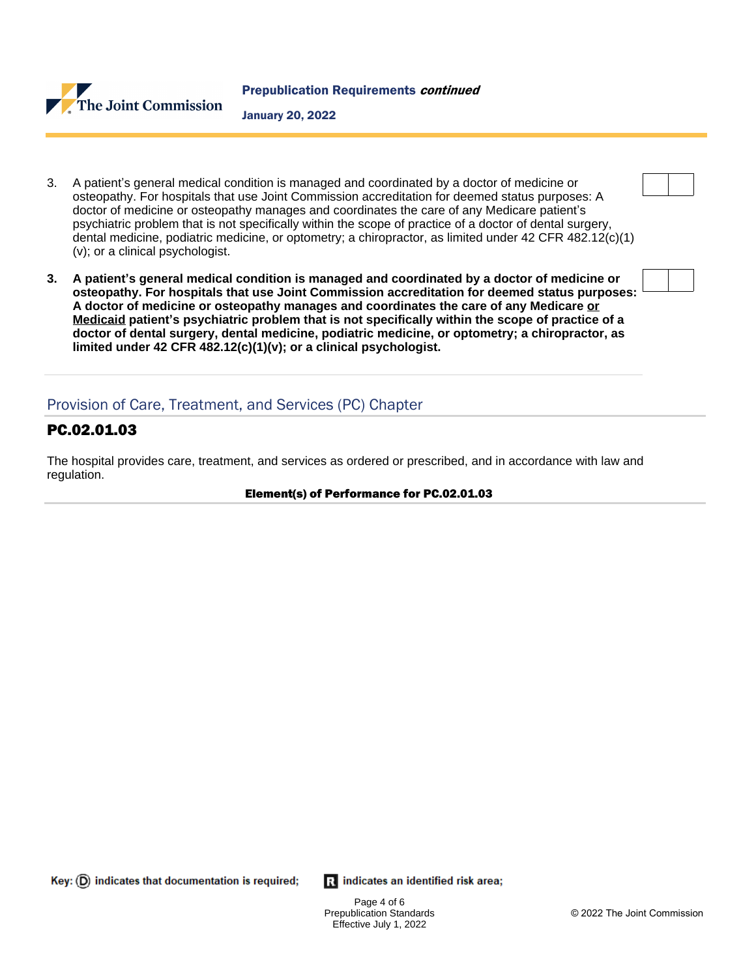

- 3. A patient's general medical condition is managed and coordinated by a doctor of medicine or osteopathy. For hospitals that use Joint Commission accreditation for deemed status purposes: A doctor of medicine or osteopathy manages and coordinates the care of any Medicare patient's psychiatric problem that is not specifically within the scope of practice of a doctor of dental surgery, dental medicine, podiatric medicine, or optometry; a chiropractor, as limited under 42 CFR 482.12(c)(1) (v); or a clinical psychologist.
- **3. A patient's general medical condition is managed and coordinated by a doctor of medicine or osteopathy. For hospitals that use Joint Commission accreditation for deemed status purposes: A doctor of medicine or osteopathy manages and coordinates the care of any Medicare or Medicaid patient's psychiatric problem that is not specifically within the scope of practice of a doctor of dental surgery, dental medicine, podiatric medicine, or optometry; a chiropractor, as limited under 42 CFR 482.12(c)(1)(v); or a clinical psychologist.**

# Provision of Care, Treatment, and Services (PC) Chapter

# PC.02.01.03

The hospital provides care, treatment, and services as ordered or prescribed, and in accordance with law and regulation.

#### Element(s) of Performance for PC.02.01.03

 $\mathbf{R}$  indicates an identified risk area;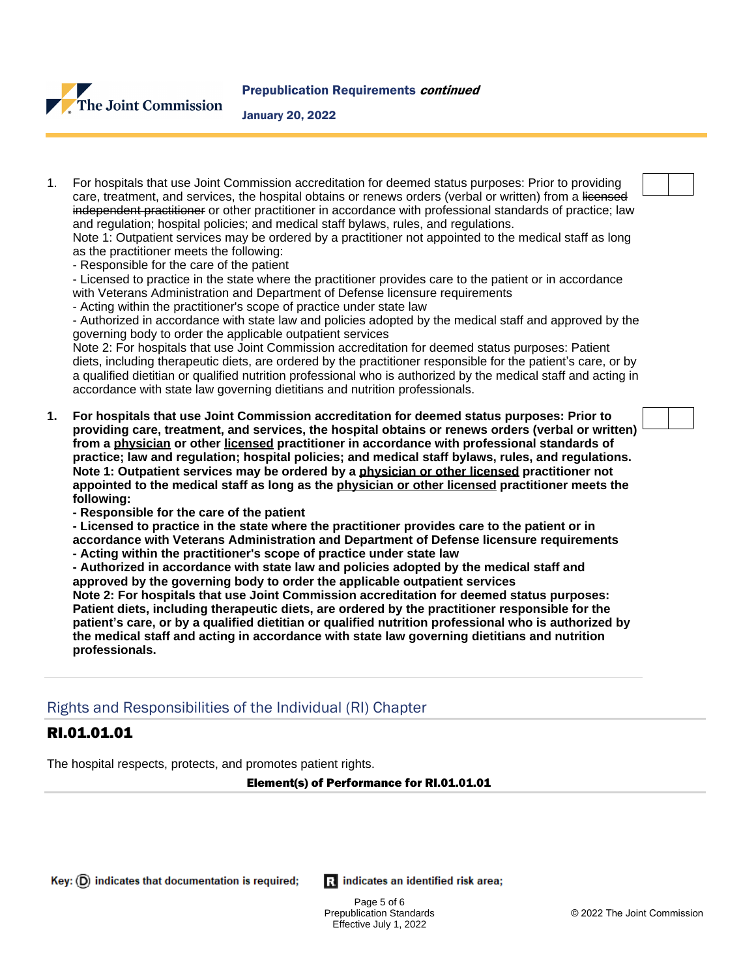

January 20, 2022

1. For hospitals that use Joint Commission accreditation for deemed status purposes: Prior to providing care, treatment, and services, the hospital obtains or renews orders (verbal or written) from a licensed independent practitioner or other practitioner in accordance with professional standards of practice; law and regulation; hospital policies; and medical staff bylaws, rules, and regulations.

Note 1: Outpatient services may be ordered by a practitioner not appointed to the medical staff as long as the practitioner meets the following:

- Responsible for the care of the patient

- Licensed to practice in the state where the practitioner provides care to the patient or in accordance with Veterans Administration and Department of Defense licensure requirements

- Acting within the practitioner's scope of practice under state law

- Authorized in accordance with state law and policies adopted by the medical staff and approved by the governing body to order the applicable outpatient services

Note 2: For hospitals that use Joint Commission accreditation for deemed status purposes: Patient diets, including therapeutic diets, are ordered by the practitioner responsible for the patient's care, or by a qualified dietitian or qualified nutrition professional who is authorized by the medical staff and acting in accordance with state law governing dietitians and nutrition professionals.

- **1. For hospitals that use Joint Commission accreditation for deemed status purposes: Prior to providing care, treatment, and services, the hospital obtains or renews orders (verbal or written) from a physician or other licensed practitioner in accordance with professional standards of practice; law and regulation; hospital policies; and medical staff bylaws, rules, and regulations. Note 1: Outpatient services may be ordered by a physician or other licensed practitioner not appointed to the medical staff as long as the physician or other licensed practitioner meets the following:**
	- **Responsible for the care of the patient**
	- **Licensed to practice in the state where the practitioner provides care to the patient or in accordance with Veterans Administration and Department of Defense licensure requirements**
	- **Acting within the practitioner's scope of practice under state law**
	- **Authorized in accordance with state law and policies adopted by the medical staff and approved by the governing body to order the applicable outpatient services**

**Note 2: For hospitals that use Joint Commission accreditation for deemed status purposes: Patient diets, including therapeutic diets, are ordered by the practitioner responsible for the patient's care, or by a qualified dietitian or qualified nutrition professional who is authorized by the medical staff and acting in accordance with state law governing dietitians and nutrition professionals.**

# Rights and Responsibilities of the Individual (RI) Chapter

# RI.01.01.01

The hospital respects, protects, and promotes patient rights.

Element(s) of Performance for RI.01.01.01

Ri indicates an identified risk area;

Page 5 of 6 Prepublication Standards Effective July 1, 2022